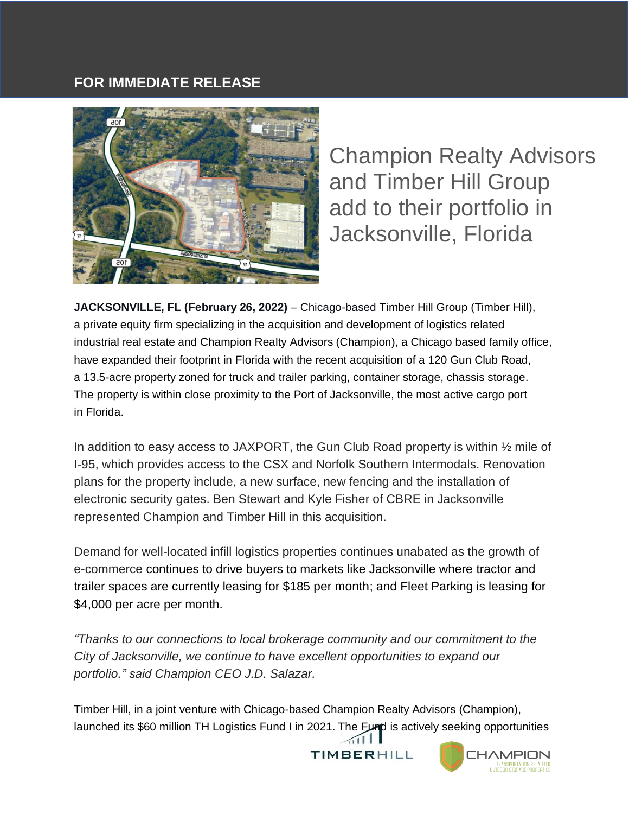## **FOR IMMEDIATE RELEASE**



Champion Realty Advisors and Timber Hill Group add to their portfolio in Jacksonville, Florida

**JACKSONVILLE, FL (February 26, 2022)** – Chicago-based Timber Hill Group (Timber Hill), a private equity firm specializing in the acquisition and development of logistics related industrial real estate and Champion Realty Advisors (Champion), a Chicago based family office, have expanded their footprint in Florida with the recent acquisition of a 120 Gun Club Road, a 13.5-acre property zoned for truck and trailer parking, container storage, chassis storage. The property is within close proximity to the Port of Jacksonville, the most active cargo port in Florida.

In addition to easy access to JAXPORT, the Gun Club Road property is within  $\frac{1}{2}$  mile of I-95, which provides access to the CSX and Norfolk Southern Intermodals. Renovation plans for the property include, a new surface, new fencing and the installation of electronic security gates. Ben Stewart and Kyle Fisher of CBRE in Jacksonville represented Champion and Timber Hill in this acquisition.

Demand for well-located infill logistics properties continues unabated as the growth of e-commerce continues to drive buyers to markets like Jacksonville where tractor and trailer spaces are currently leasing for \$185 per month; and Fleet Parking is leasing for \$4,000 per acre per month.

*"Thanks to our connections to local brokerage community and our commitment to the City of Jacksonville, we continue to have excellent opportunities to expand our portfolio." said Champion CEO J.D. Salazar.* 

Timber Hill, in a joint venture with Chicago-based Champion Realty Advisors (Champion), launched its \$60 million TH Logistics Fund I in 2021. The Fund is actively seeking opportunities  $\bigtriangleup$ ill

TIMBERHILL